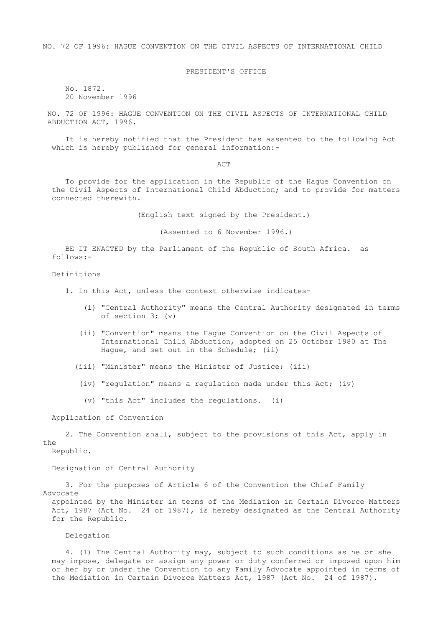NO. 72 OF 1996: HAGUE CONVENTION ON THE CIVIL ASPECTS OF INTERNATIONAL CHILD

## PRESIDENT'S OFFICE

 No. 1872. 20 November 1996

 NO. 72 OF 1996: HAGUE CONVENTION ON THE CIVIL ASPECTS OF INTERNATIONAL CHILD ABDUCTION ACT, 1996.

 It is hereby notified that the President has assented to the following Act which is hereby published for general information:-

### ACT

 To provide for the application in the Republic of the Hague Convention on the Civil Aspects of International Child Abduction; and to provide for matters connected therewith.

(English text signed by the President.)

(Assented to 6 November 1996.)

 BE IT ENACTED by the Parliament of the Republic of South Africa. as follows:-

Definitions

- 1. In this Act, unless the context otherwise indicates-
	- (i) "Central Authority" means the Central Authority designated in terms of section 3; (v)
	- (ii) "Convention" means the Hague Convention on the Civil Aspects of International Child Abduction, adopted on 25 October 1980 at The Hague, and set out in the Schedule; (ii)
	- (iii) "Minister" means the Minister of Justice; (iii)
		- (iv) "regulation" means a regulation made under this Act; (iv)
			- (v) "this Act" includes the regulations. (i)

Application of Convention

 2. The Convention shall, subject to the provisions of this Act, apply in the

Republic.

Designation of Central Authority

 3. For the purposes of Article 6 of the Convention the Chief Family Advocate

 appointed by the Minister in terms of the Mediation in Certain Divorce Matters Act, 1987 (Act No. 24 of 1987), is hereby designated as the Central Authority for the Republic.

Delegation

 4. (1) The Central Authority may, subject to such conditions as he or she may impose, delegate or assign any power or duty conferred or imposed upon him or her by or under the Convention to any Family Advocate appointed in terms of the Mediation in Certain Divorce Matters Act, 1987 (Act No. 24 of 1987).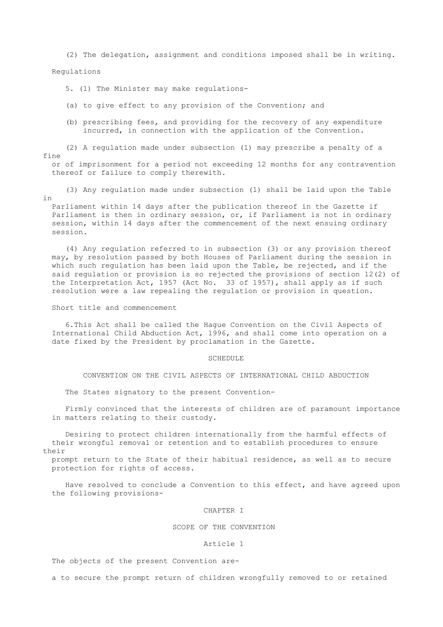(2) The delegation, assignment and conditions imposed shall be in writing. Regulations

5. (1) The Minister may make regulations-

- (a) to give effect to any provision of the Convention; and
- (b) prescribing fees, and providing for the recovery of any expenditure incurred, in connection with the application of the Convention.

(2) A regulation made under subsection (1) may prescribe a penalty of a

fine

 or of imprisonment for a period not exceeding 12 months for any contravention thereof or failure to comply therewith.

 (3) Any regulation made under subsection (1) shall be laid upon the Table in

 Parliament within 14 days after the publication thereof in the Gazette if Parliament is then in ordinary session, or, if Parliament is not in ordinary session, within 14 days after the commencement of the next ensuing ordinary session.

 (4) Any regulation referred to in subsection (3) or any provision thereof may, by resolution passed by both Houses of Parliament during the session in which such regulation has been laid upon the Table, be rejected, and if the said regulation or provision is so rejected the provisions of section 12(2) of the Interpretation Act, 1957 (Act No. 33 of 1957), shall apply as if such resolution were a law repealing the regulation or provision in question.

Short title and commencement

 6.This Act shall be called the Hague Convention on the Civil Aspects of International Child Abduction Act, 1996, and shall come into operation on a date fixed by the President by proclamation in the Gazette.

#### SCHEDULE

CONVENTION ON THE CIVIL ASPECTS OF INTERNATIONAL CHILD ABDUCTION

The States signatory to the present Convention-

 Firmly convinced that the interests of children are of paramount importance in matters relating to their custody.

 Desiring to protect children internationally from the harmful effects of their wrongful removal or retention and to establish procedures to ensure their

 prompt return to the State of their habitual residence, as well as to secure protection for rights of access.

 Have resolved to conclude a Convention to this effect, and have agreed upon the following provisions-

## CHAPTER I

## SCOPE OF THE CONVENTION

#### Article 1

The objects of the present Convention are-

a to secure the prompt return of children wrongfully removed to or retained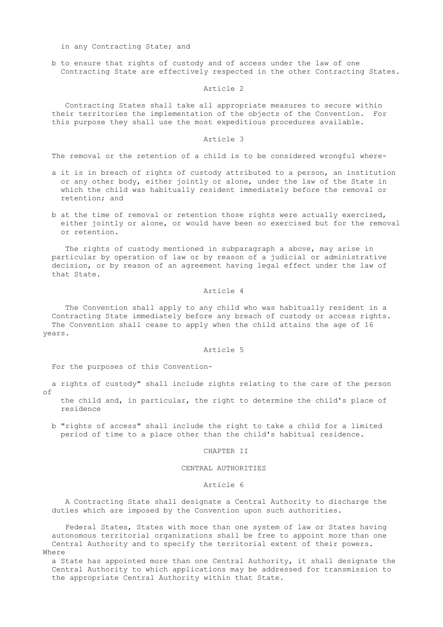in any Contracting State; and

 b to ensure that rights of custody and of access under the law of one Contracting State are effectively respected in the other Contracting States.

#### Article 2

 Contracting States shall take all appropriate measures to secure within their territories the implementation of the objects of the Convention. For this purpose they shall use the most expeditious procedures available.

## Article 3

The removal or the retention of a child is to be considered wrongful where-

- a it is in breach of rights of custody attributed to a person, an institution or any other body, either jointly or alone, under the law of the State in which the child was habitually resident immediately before the removal or retention; and
- b at the time of removal or retention those rights were actually exercised, either jointly or alone, or would have been so exercised but for the removal or retention.

The rights of custody mentioned in subparagraph a above, may arise in particular by operation of law or by reason of a judicial or administrative decision, or by reason of an agreement having legal effect under the law of that State.

## Article 4

 The Convention shall apply to any child who was habitually resident in a Contracting State immediately before any breach of custody or access rights. The Convention shall cease to apply when the child attains the age of 16 years.

### Article 5

For the purposes of this Convention-

 a rights of custody" shall include rights relating to the care of the person of

- the child and, in particular, the right to determine the child's place of residence
- b "rights of access" shall include the right to take a child for a limited period of time to a place other than the child's habitual residence.

#### CHAPTER II

## CENTRAL AUTHORITIES

### Article 6

 A Contracting State shall designate a Central Authority to discharge the duties which are imposed by the Convention upon such authorities.

 Federal States, States with more than one system of law or States having autonomous territorial organizations shall be free to appoint more than one Central Authority and to specify the territorial extent of their powers. Where

 a State has appointed more than one Central Authority, it shall designate the Central Authority to which applications may be addressed for transmission to the appropriate Central Authority within that State.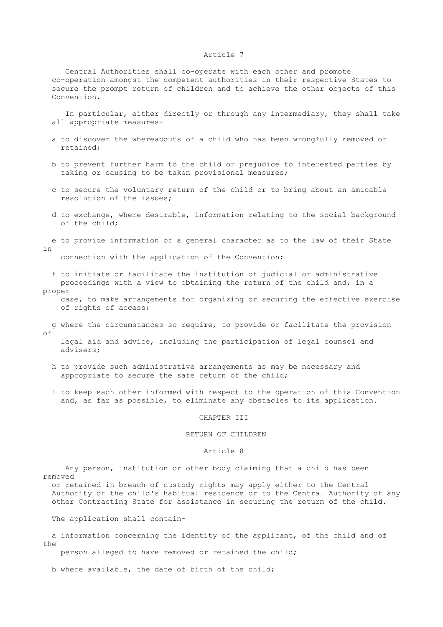# Article 7

 Central Authorities shall co-operate with each other and promote co-operation amongst the competent authorities in their respective States to secure the prompt return of children and to achieve the other objects of this Convention.

 In particular, either directly or through any intermediary, they shall take all appropriate measures-

- a to discover the whereabouts of a child who has been wrongfully removed or retained;
- b to prevent further harm to the child or prejudice to interested parties by taking or causing to be taken provisional measures;
- c to secure the voluntary return of the child or to bring about an amicable resolution of the issues;
- d to exchange, where desirable, information relating to the social background of the child;
- e to provide information of a general character as to the law of their State in

connection with the application of the Convention;

 f to initiate or facilitate the institution of judicial or administrative proceedings with a view to obtaining the return of the child and, in a proper

 case, to make arrangements for organizing or securing the effective exercise of rights of access;

 g where the circumstances so require, to provide or facilitate the provision of legal aid and advice, including the participation of legal counsel and

advisers;

- h to provide such administrative arrangements as may be necessary and appropriate to secure the safe return of the child;
- i to keep each other informed with respect to the operation of this Convention and, as far as possible, to eliminate any obstacles to its application.

CHAPTER III

## RETURN OF CHILDREN

### Article 8

 Any person, institution or other body claiming that a child has been removed

 or retained in breach of custody rights may apply either to the Central Authority of the child's habitual residence or to the Central Authority of any other Contracting State for assistance in securing the return of the child.

The application shall contain-

 a information concerning the identity of the applicant, of the child and of the

person alleged to have removed or retained the child;

b where available, the date of birth of the child;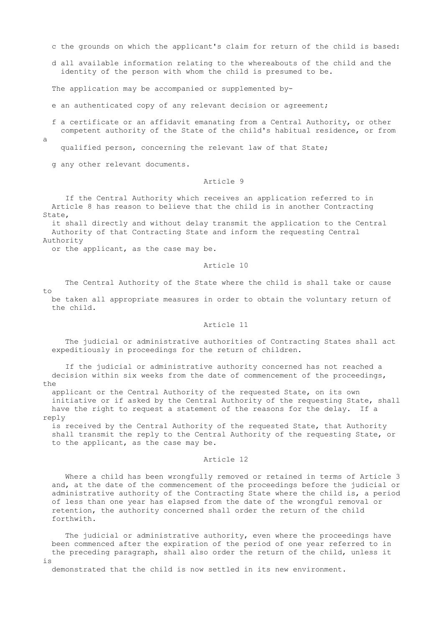c the grounds on which the applicant's claim for return of the child is based:

 d all available information relating to the whereabouts of the child and the identity of the person with whom the child is presumed to be.

The application may be accompanied or supplemented by-

- e an authenticated copy of any relevant decision or agreement;
- f a certificate or an affidavit emanating from a Central Authority, or other competent authority of the State of the child's habitual residence, or from

a

qualified person, concerning the relevant law of that State;

g any other relevant documents.

### Article 9

 If the Central Authority which receives an application referred to in Article 8 has reason to believe that the child is in another Contracting State,

 it shall directly and without delay transmit the application to the Central Authority of that Contracting State and inform the requesting Central Authority

or the applicant, as the case may be.

#### Article 10

 The Central Authority of the State where the child is shall take or cause to

 be taken all appropriate measures in order to obtain the voluntary return of the child.

## Article 11

 The judicial or administrative authorities of Contracting States shall act expeditiously in proceedings for the return of children.

 If the judicial or administrative authority concerned has not reached a decision within six weeks from the date of commencement of the proceedings,  $th$  $\alpha$ 

 applicant or the Central Authority of the requested State, on its own initiative or if asked by the Central Authority of the requesting State, shall have the right to request a statement of the reasons for the delay. If a reply

 is received by the Central Authority of the requested State, that Authority shall transmit the reply to the Central Authority of the requesting State, or to the applicant, as the case may be.

#### Article 12

 Where a child has been wrongfully removed or retained in terms of Article 3 and, at the date of the commencement of the proceedings before the judicial or administrative authority of the Contracting State where the child is, a period of less than one year has elapsed from the date of the wrongful removal or retention, the authority concerned shall order the return of the child forthwith.

 The judicial or administrative authority, even where the proceedings have been commenced after the expiration of the period of one year referred to in the preceding paragraph, shall also order the return of the child, unless it

is

demonstrated that the child is now settled in its new environment.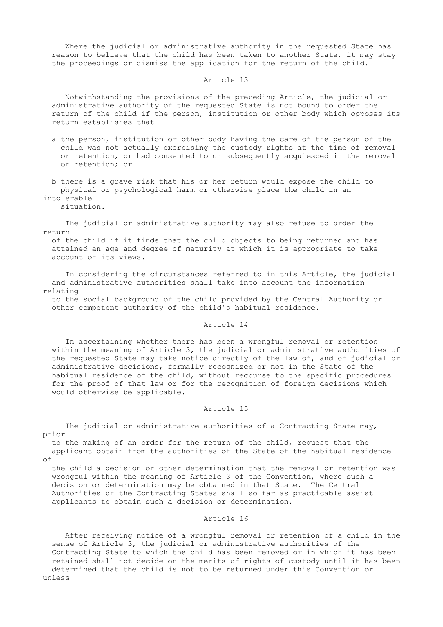Where the judicial or administrative authority in the requested State has reason to believe that the child has been taken to another State, it may stay the proceedings or dismiss the application for the return of the child.

### Article 13

 Notwithstanding the provisions of the preceding Article, the judicial or administrative authority of the requested State is not bound to order the return of the child if the person, institution or other body which opposes its return establishes that-

 a the person, institution or other body having the care of the person of the child was not actually exercising the custody rights at the time of removal or retention, or had consented to or subsequently acquiesced in the removal or retention; or

 b there is a grave risk that his or her return would expose the child to physical or psychological harm or otherwise place the child in an intolerable

situation.

 The judicial or administrative authority may also refuse to order the return

 of the child if it finds that the child objects to being returned and has attained an age and degree of maturity at which it is appropriate to take account of its views.

 In considering the circumstances referred to in this Article, the judicial and administrative authorities shall take into account the information relating

 to the social background of the child provided by the Central Authority or other competent authority of the child's habitual residence.

## Article 14

 In ascertaining whether there has been a wrongful removal or retention within the meaning of Article 3, the judicial or administrative authorities of the requested State may take notice directly of the law of, and of judicial or administrative decisions, formally recognized or not in the State of the habitual residence of the child, without recourse to the specific procedures for the proof of that law or for the recognition of foreign decisions which would otherwise be applicable.

#### Article 15

The judicial or administrative authorities of a Contracting State may, prior

 to the making of an order for the return of the child, request that the applicant obtain from the authorities of the State of the habitual residence of

 the child a decision or other determination that the removal or retention was wrongful within the meaning of Article 3 of the Convention, where such a decision or determination may be obtained in that State. The Central Authorities of the Contracting States shall so far as practicable assist applicants to obtain such a decision or determination.

### Article 16

 After receiving notice of a wrongful removal or retention of a child in the sense of Article 3, the judicial or administrative authorities of the Contracting State to which the child has been removed or in which it has been retained shall not decide on the merits of rights of custody until it has been determined that the child is not to be returned under this Convention or unless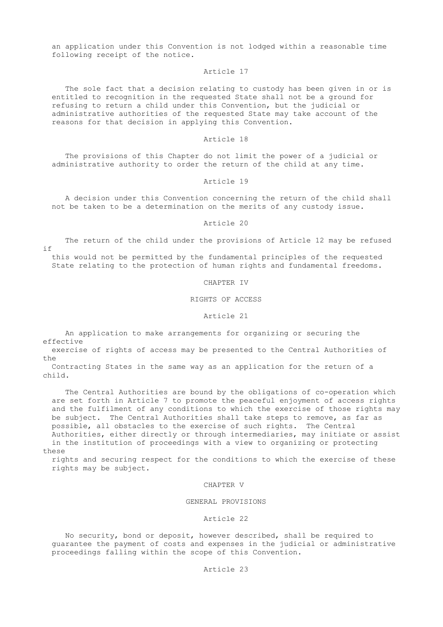an application under this Convention is not lodged within a reasonable time following receipt of the notice.

## Article 17

 The sole fact that a decision relating to custody has been given in or is entitled to recognition in the requested State shall not be a ground for refusing to return a child under this Convention, but the judicial or administrative authorities of the requested State may take account of the reasons for that decision in applying this Convention.

# Article 18

 The provisions of this Chapter do not limit the power of a judicial or administrative authority to order the return of the child at any time.

#### Article 19

 A decision under this Convention concerning the return of the child shall not be taken to be a determination on the merits of any custody issue.

## Article 20

 The return of the child under the provisions of Article 12 may be refused if

 this would not be permitted by the fundamental principles of the requested State relating to the protection of human rights and fundamental freedoms.

CHAPTER IV

## RIGHTS OF ACCESS

### Article 21

 An application to make arrangements for organizing or securing the effective

 exercise of rights of access may be presented to the Central Authorities of the

 Contracting States in the same way as an application for the return of a child.

 The Central Authorities are bound by the obligations of co-operation which are set forth in Article 7 to promote the peaceful enjoyment of access rights and the fulfilment of any conditions to which the exercise of those rights may be subject. The Central Authorities shall take steps to remove, as far as possible, all obstacles to the exercise of such rights. The Central Authorities, either directly or through intermediaries, may initiate or assist in the institution of proceedings with a view to organizing or protecting these

 rights and securing respect for the conditions to which the exercise of these rights may be subject.

### CHAPTER V

## GENERAL PROVISIONS

#### Article 22

 No security, bond or deposit, however described, shall be required to guarantee the payment of costs and expenses in the judicial or administrative proceedings falling within the scope of this Convention.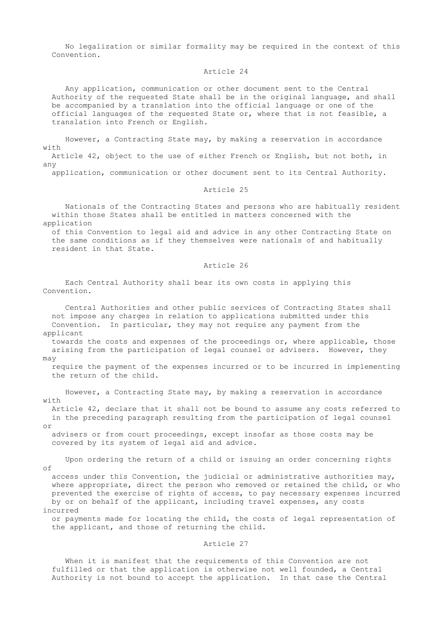No legalization or similar formality may be required in the context of this Convention.

## Article 24

 Any application, communication or other document sent to the Central Authority of the requested State shall be in the original language, and shall be accompanied by a translation into the official language or one of the official languages of the requested State or, where that is not feasible, a translation into French or English.

 However, a Contracting State may, by making a reservation in accordance  $w + h$ 

 Article 42, object to the use of either French or English, but not both, in any

application, communication or other document sent to its Central Authority.

#### Article 25

 Nationals of the Contracting States and persons who are habitually resident within those States shall be entitled in matters concerned with the application

 of this Convention to legal aid and advice in any other Contracting State on the same conditions as if they themselves were nationals of and habitually resident in that State.

## Article 26

 Each Central Authority shall bear its own costs in applying this Convention.

 Central Authorities and other public services of Contracting States shall not impose any charges in relation to applications submitted under this Convention. In particular, they may not require any payment from the applicant

 towards the costs and expenses of the proceedings or, where applicable, those arising from the participation of legal counsel or advisers. However, they may

 require the payment of the expenses incurred or to be incurred in implementing the return of the child.

 However, a Contracting State may, by making a reservation in accordance with

 Article 42, declare that it shall not be bound to assume any costs referred to in the preceding paragraph resulting from the participation of legal counsel or

 advisers or from court proceedings, except insofar as those costs may be covered by its system of legal aid and advice.

 Upon ordering the return of a child or issuing an order concerning rights of

 access under this Convention, the judicial or administrative authorities may, where appropriate, direct the person who removed or retained the child, or who prevented the exercise of rights of access, to pay necessary expenses incurred by or on behalf of the applicant, including travel expenses, any costs incurred

 or payments made for locating the child, the costs of legal representation of the applicant, and those of returning the child.

### Article 27

 When it is manifest that the requirements of this Convention are not fulfilled or that the application is otherwise not well founded, a Central Authority is not bound to accept the application. In that case the Central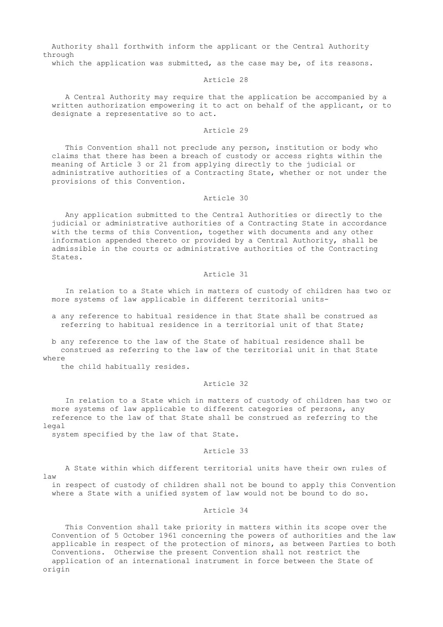Authority shall forthwith inform the applicant or the Central Authority through

which the application was submitted, as the case may be, of its reasons.

### Article 28

 A Central Authority may require that the application be accompanied by a written authorization empowering it to act on behalf of the applicant, or to designate a representative so to act.

### Article 29

 This Convention shall not preclude any person, institution or body who claims that there has been a breach of custody or access rights within the meaning of Article 3 or 21 from applying directly to the judicial or administrative authorities of a Contracting State, whether or not under the provisions of this Convention.

#### Article 30

 Any application submitted to the Central Authorities or directly to the judicial or administrative authorities of a Contracting State in accordance with the terms of this Convention, together with documents and any other information appended thereto or provided by a Central Authority, shall be admissible in the courts or administrative authorities of the Contracting States.

## Article 31

 In relation to a State which in matters of custody of children has two or more systems of law applicable in different territorial units-

 a any reference to habitual residence in that State shall be construed as referring to habitual residence in a territorial unit of that State;

 b any reference to the law of the State of habitual residence shall be construed as referring to the law of the territorial unit in that State where

the child habitually resides.

#### Article 32

 In relation to a State which in matters of custody of children has two or more systems of law applicable to different categories of persons, any reference to the law of that State shall be construed as referring to the legal

system specified by the law of that State.

#### Article 33

 A State within which different territorial units have their own rules of law

 in respect of custody of children shall not be bound to apply this Convention where a State with a unified system of law would not be bound to do so.

# Article 34

 This Convention shall take priority in matters within its scope over the Convention of 5 October 1961 concerning the powers of authorities and the law applicable in respect of the protection of minors, as between Parties to both Conventions. Otherwise the present Convention shall not restrict the application of an international instrument in force between the State of origin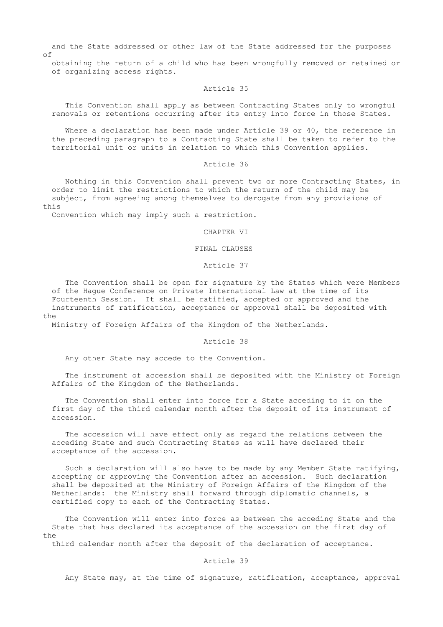and the State addressed or other law of the State addressed for the purposes of

 obtaining the return of a child who has been wrongfully removed or retained or of organizing access rights.

### Article 35

 This Convention shall apply as between Contracting States only to wrongful removals or retentions occurring after its entry into force in those States.

 Where a declaration has been made under Article 39 or 40, the reference in the preceding paragraph to a Contracting State shall be taken to refer to the territorial unit or units in relation to which this Convention applies.

#### Article 36

 Nothing in this Convention shall prevent two or more Contracting States, in order to limit the restrictions to which the return of the child may be subject, from agreeing among themselves to derogate from any provisions of this

Convention which may imply such a restriction.

#### CHAPTER VI

## FINAL CLAUSES

## Article 37

 The Convention shall be open for signature by the States which were Members of the Hague Conference on Private International Law at the time of its Fourteenth Session. It shall be ratified, accepted or approved and the instruments of ratification, acceptance or approval shall be deposited with the

Ministry of Foreign Affairs of the Kingdom of the Netherlands.

#### Article 38

Any other State may accede to the Convention.

 The instrument of accession shall be deposited with the Ministry of Foreign Affairs of the Kingdom of the Netherlands.

 The Convention shall enter into force for a State acceding to it on the first day of the third calendar month after the deposit of its instrument of accession.

 The accession will have effect only as regard the relations between the acceding State and such Contracting States as will have declared their acceptance of the accession.

 Such a declaration will also have to be made by any Member State ratifying, accepting or approving the Convention after an accession. Such declaration shall be deposited at the Ministry of Foreign Affairs of the Kingdom of the Netherlands: the Ministry shall forward through diplomatic channels, a certified copy to each of the Contracting States.

 The Convention will enter into force as between the acceding State and the State that has declared its acceptance of the accession on the first day of the

third calendar month after the deposit of the declaration of acceptance.

#### Article 39

Any State may, at the time of signature, ratification, acceptance, approval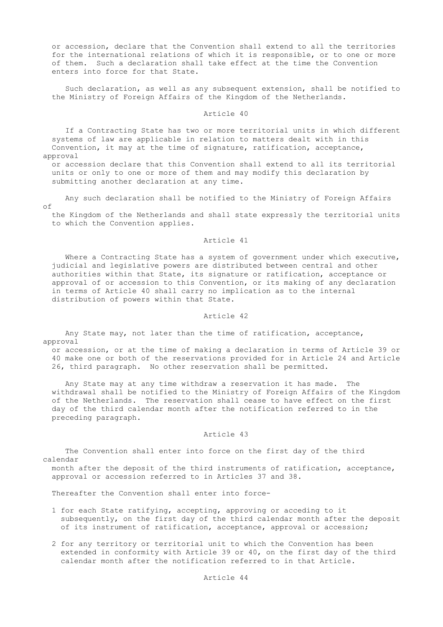or accession, declare that the Convention shall extend to all the territories for the international relations of which it is responsible, or to one or more of them. Such a declaration shall take effect at the time the Convention enters into force for that State.

 Such declaration, as well as any subsequent extension, shall be notified to the Ministry of Foreign Affairs of the Kingdom of the Netherlands.

# Article 40

 If a Contracting State has two or more territorial units in which different systems of law are applicable in relation to matters dealt with in this Convention, it may at the time of signature, ratification, acceptance, approval

 or accession declare that this Convention shall extend to all its territorial units or only to one or more of them and may modify this declaration by submitting another declaration at any time.

 Any such declaration shall be notified to the Ministry of Foreign Affairs of

 the Kingdom of the Netherlands and shall state expressly the territorial units to which the Convention applies.

# Article 41

Where a Contracting State has a system of government under which executive, judicial and legislative powers are distributed between central and other authorities within that State, its signature or ratification, acceptance or approval of or accession to this Convention, or its making of any declaration in terms of Article 40 shall carry no implication as to the internal distribution of powers within that State.

### Article 42

 Any State may, not later than the time of ratification, acceptance, approval

 or accession, or at the time of making a declaration in terms of Article 39 or 40 make one or both of the reservations provided for in Article 24 and Article 26, third paragraph. No other reservation shall be permitted.

 Any State may at any time withdraw a reservation it has made. The withdrawal shall be notified to the Ministry of Foreign Affairs of the Kingdom of the Netherlands. The reservation shall cease to have effect on the first day of the third calendar month after the notification referred to in the preceding paragraph.

#### Article 43

 The Convention shall enter into force on the first day of the third calendar

 month after the deposit of the third instruments of ratification, acceptance, approval or accession referred to in Articles 37 and 38.

Thereafter the Convention shall enter into force-

- 1 for each State ratifying, accepting, approving or acceding to it subsequently, on the first day of the third calendar month after the deposit of its instrument of ratification, acceptance, approval or accession;
- 2 for any territory or territorial unit to which the Convention has been extended in conformity with Article 39 or 40, on the first day of the third calendar month after the notification referred to in that Article.